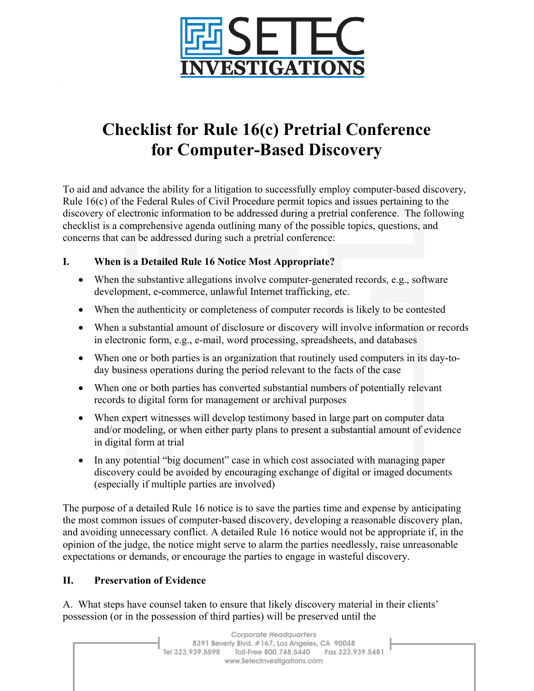

# **Checklist for Rule 16(c) Pretrial Conference for Computer-Based Discovery**

To aid and advance the ability for a litigation to successfully employ computer-based discovery, Rule 16(c) of the Federal Rules of Civil Procedure permit topics and issues pertaining to the discovery of electronic information to be addressed during a pretrial conference. The following checklist is a comprehensive agenda outlining many of the possible topics, questions, and concerns that can be addressed during such a pretrial conference:

## **I. When is a Detailed Rule 16 Notice Most Appropriate?**

- When the substantive allegations involve computer-generated records, e.g., software development, e-commerce, unlawful Internet trafficking, etc.
- When the authenticity or completeness of computer records is likely to be contested
- When a substantial amount of disclosure or discovery will involve information or records in electronic form, e.g., e-mail, word processing, spreadsheets, and databases
- When one or both parties is an organization that routinely used computers in its day-today business operations during the period relevant to the facts of the case
- When one or both parties has converted substantial numbers of potentially relevant records to digital form for management or archival purposes
- When expert witnesses will develop testimony based in large part on computer data and/or modeling, or when either party plans to present a substantial amount of evidence in digital form at trial
- In any potential "big document" case in which cost associated with managing paper discovery could be avoided by encouraging exchange of digital or imaged documents (especially if multiple parties are involved)

The purpose of a detailed Rule 16 notice is to save the parties time and expense by anticipating the most common issues of computer-based discovery, developing a reasonable discovery plan, and avoiding unnecessary conflict. A detailed Rule 16 notice would not be appropriate if, in the opinion of the judge, the notice might serve to alarm the parties needlessly, raise unreasonable expectations or demands, or encourage the parties to engage in wasteful discovery.

## **II. Preservation of Evidence**

A. What steps have counsel taken to ensure that likely discovery material in their clients' possession (or in the possession of third parties) will be preserved until the

Corporate Headquarters 8391 Beverly Blvd. #167, Los Angeles, CA 90048 Tel 323.939.5598 Toll-Free 800.748.5440 Fax 323.939.5481 www.SetecInvestigations.com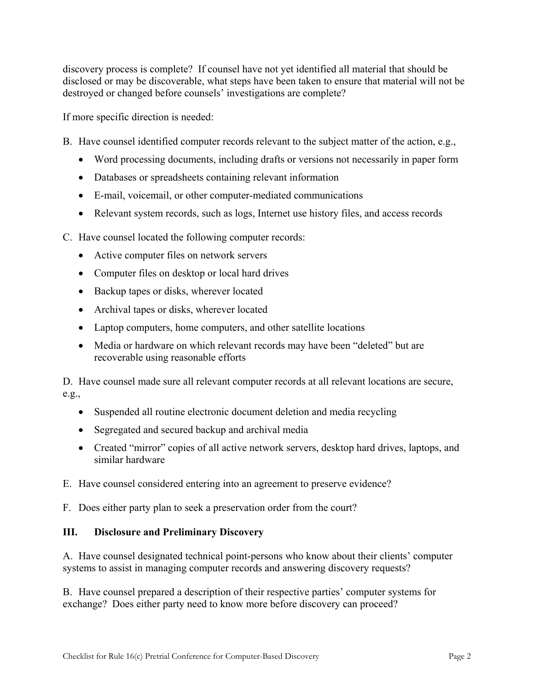discovery process is complete? If counsel have not yet identified all material that should be disclosed or may be discoverable, what steps have been taken to ensure that material will not be destroyed or changed before counsels' investigations are complete?

If more specific direction is needed:

- B. Have counsel identified computer records relevant to the subject matter of the action, e.g.,
	- Word processing documents, including drafts or versions not necessarily in paper form
	- Databases or spreadsheets containing relevant information
	- E-mail, voicemail, or other computer-mediated communications
	- Relevant system records, such as logs, Internet use history files, and access records
- C. Have counsel located the following computer records:
	- Active computer files on network servers
	- Computer files on desktop or local hard drives
	- Backup tapes or disks, wherever located
	- Archival tapes or disks, wherever located
	- Laptop computers, home computers, and other satellite locations
	- Media or hardware on which relevant records may have been "deleted" but are recoverable using reasonable efforts

D. Have counsel made sure all relevant computer records at all relevant locations are secure, e.g.,

- Suspended all routine electronic document deletion and media recycling
- Segregated and secured backup and archival media
- Created "mirror" copies of all active network servers, desktop hard drives, laptops, and similar hardware
- E. Have counsel considered entering into an agreement to preserve evidence?
- F. Does either party plan to seek a preservation order from the court?

#### **III. Disclosure and Preliminary Discovery**

A. Have counsel designated technical point-persons who know about their clients' computer systems to assist in managing computer records and answering discovery requests?

B. Have counsel prepared a description of their respective parties' computer systems for exchange? Does either party need to know more before discovery can proceed?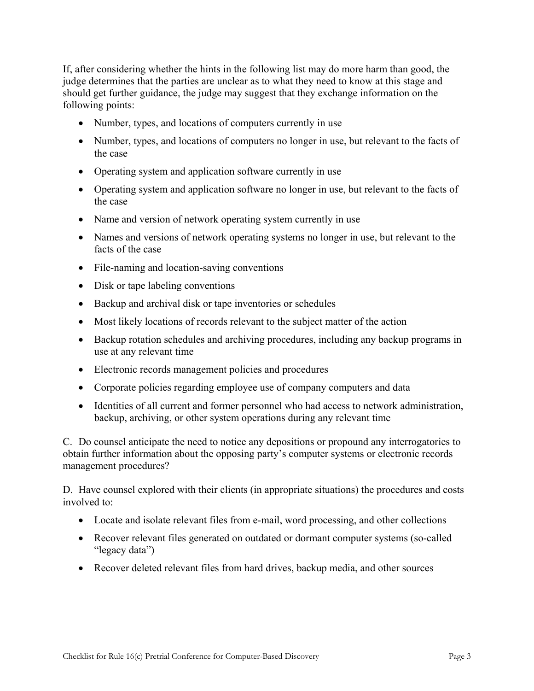If, after considering whether the hints in the following list may do more harm than good, the judge determines that the parties are unclear as to what they need to know at this stage and should get further guidance, the judge may suggest that they exchange information on the following points:

- Number, types, and locations of computers currently in use
- Number, types, and locations of computers no longer in use, but relevant to the facts of the case
- Operating system and application software currently in use
- Operating system and application software no longer in use, but relevant to the facts of the case
- Name and version of network operating system currently in use
- Names and versions of network operating systems no longer in use, but relevant to the facts of the case
- File-naming and location-saving conventions
- Disk or tape labeling conventions
- Backup and archival disk or tape inventories or schedules
- Most likely locations of records relevant to the subject matter of the action
- Backup rotation schedules and archiving procedures, including any backup programs in use at any relevant time
- Electronic records management policies and procedures
- Corporate policies regarding employee use of company computers and data
- Identities of all current and former personnel who had access to network administration, backup, archiving, or other system operations during any relevant time

C. Do counsel anticipate the need to notice any depositions or propound any interrogatories to obtain further information about the opposing party's computer systems or electronic records management procedures?

D. Have counsel explored with their clients (in appropriate situations) the procedures and costs involved to:

- Locate and isolate relevant files from e-mail, word processing, and other collections
- Recover relevant files generated on outdated or dormant computer systems (so-called "legacy data")
- Recover deleted relevant files from hard drives, backup media, and other sources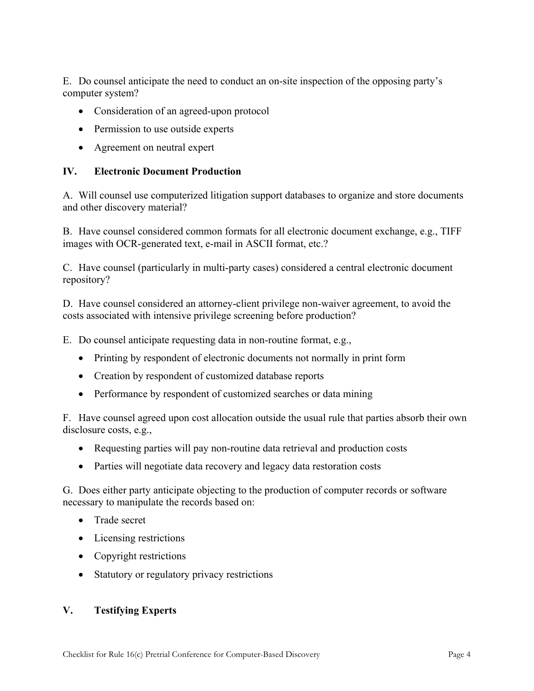E. Do counsel anticipate the need to conduct an on-site inspection of the opposing party's computer system?

- Consideration of an agreed-upon protocol
- Permission to use outside experts
- Agreement on neutral expert

### **IV. Electronic Document Production**

A. Will counsel use computerized litigation support databases to organize and store documents and other discovery material?

B. Have counsel considered common formats for all electronic document exchange, e.g., TIFF images with OCR-generated text, e-mail in ASCII format, etc.?

C. Have counsel (particularly in multi-party cases) considered a central electronic document repository?

D. Have counsel considered an attorney-client privilege non-waiver agreement, to avoid the costs associated with intensive privilege screening before production?

E. Do counsel anticipate requesting data in non-routine format, e.g.,

- Printing by respondent of electronic documents not normally in print form
- Creation by respondent of customized database reports
- Performance by respondent of customized searches or data mining

F. Have counsel agreed upon cost allocation outside the usual rule that parties absorb their own disclosure costs, e.g.,

- Requesting parties will pay non-routine data retrieval and production costs
- Parties will negotiate data recovery and legacy data restoration costs

G. Does either party anticipate objecting to the production of computer records or software necessary to manipulate the records based on:

- Trade secret
- Licensing restrictions
- Copyright restrictions
- Statutory or regulatory privacy restrictions

## **V. Testifying Experts**